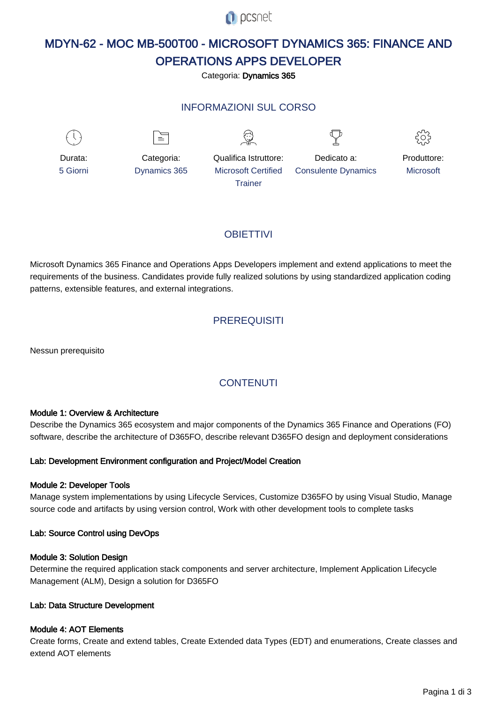

# MDYN-62 - MOC MB-500T00 - MICROSOFT DYNAMICS 365: FINANCE AND OPERATIONS APPS DEVELOPER

Categoria: Dynamics 365

# INFORMAZIONI SUL CORSO





Produttore: **Microsoft** 

# **OBIFTTIVI**

Microsoft Dynamics 365 Finance and Operations Apps Developers implement and extend applications to meet the requirements of the business. Candidates provide fully realized solutions by using standardized application coding patterns, extensible features, and external integrations.

# **PREREQUISITI**

Nessun prerequisito

# **CONTENUTI**

### Module 1: Overview & Architecture

Describe the Dynamics 365 ecosystem and major components of the Dynamics 365 Finance and Operations (FO) software, describe the architecture of D365FO, describe relevant D365FO design and deployment considerations

### Lab: Development Environment configuration and Project/Model Creation

### Module 2: Developer Tools

Manage system implementations by using Lifecycle Services, Customize D365FO by using Visual Studio, Manage source code and artifacts by using version control, Work with other development tools to complete tasks

### Lab: Source Control using DevOps

### Module 3: Solution Design

Determine the required application stack components and server architecture, Implement Application Lifecycle Management (ALM), Design a solution for D365FO

### Lab: Data Structure Development

### Module 4: AOT Elements

Create forms, Create and extend tables, Create Extended data Types (EDT) and enumerations, Create classes and extend AOT elements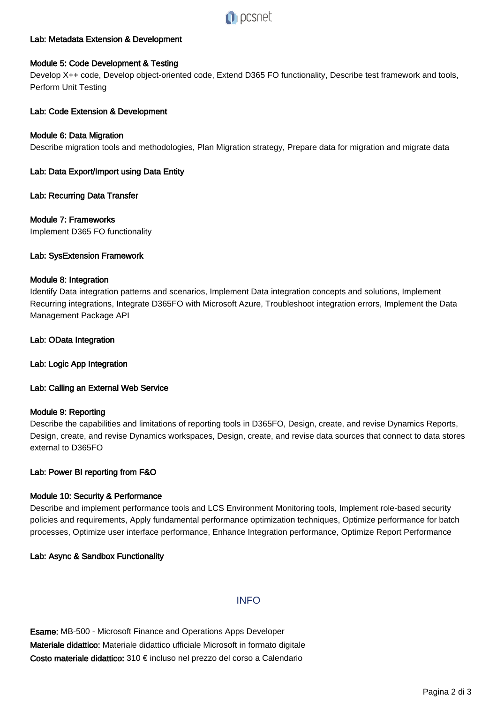

## Lab: Metadata Extension & Development

### Module 5: Code Development & Testing

Develop X++ code, Develop object-oriented code, Extend D365 FO functionality, Describe test framework and tools, Perform Unit Testing

### Lab: Code Extension & Development

### Module 6: Data Migration

Describe migration tools and methodologies, Plan Migration strategy, Prepare data for migration and migrate data

## Lab: Data Export/Import using Data Entity

#### Lab: Recurring Data Transfer

#### Module 7: Frameworks

Implement D365 FO functionality

#### Lab: SysExtension Framework

#### Module 8: Integration

Identify Data integration patterns and scenarios, Implement Data integration concepts and solutions, Implement Recurring integrations, Integrate D365FO with Microsoft Azure, Troubleshoot integration errors, Implement the Data Management Package API

#### Lab: OData Integration

Lab: Logic App Integration

### Lab: Calling an External Web Service

#### Module 9: Reporting

Describe the capabilities and limitations of reporting tools in D365FO, Design, create, and revise Dynamics Reports, Design, create, and revise Dynamics workspaces, Design, create, and revise data sources that connect to data stores external to D365FO

### Lab: Power BI reporting from F&O

### Module 10: Security & Performance

Describe and implement performance tools and LCS Environment Monitoring tools, Implement role-based security policies and requirements, Apply fundamental performance optimization techniques, Optimize performance for batch processes, Optimize user interface performance, Enhance Integration performance, Optimize Report Performance

### Lab: Async & Sandbox Functionality

# **INFO**

Esame: MB-500 - Microsoft Finance and Operations Apps Developer Materiale didattico: Materiale didattico ufficiale Microsoft in formato digitale Costo materiale didattico: 310 € incluso nel prezzo del corso a Calendario